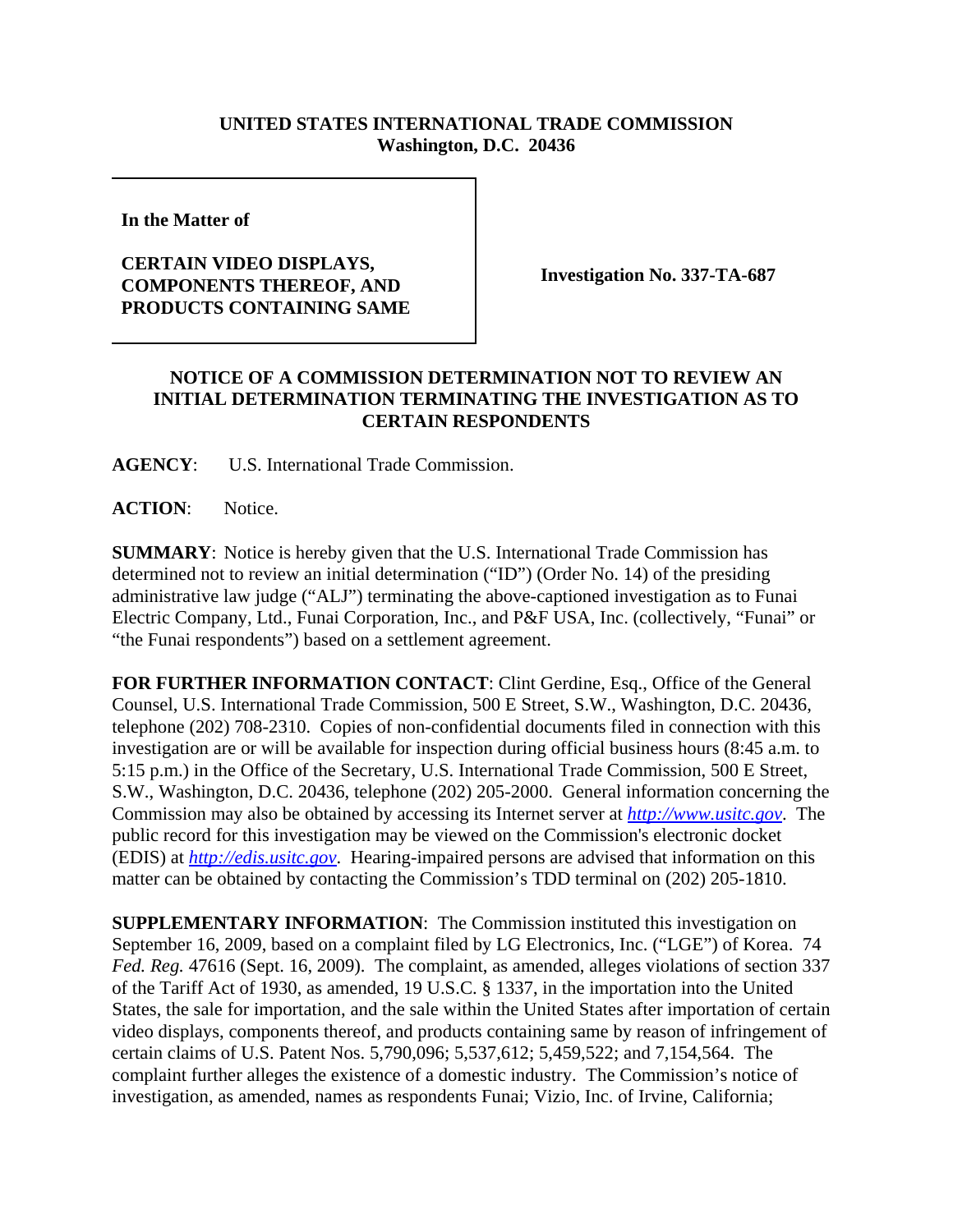## **UNITED STATES INTERNATIONAL TRADE COMMISSION Washington, D.C. 20436**

**In the Matter of** 

## **CERTAIN VIDEO DISPLAYS, COMPONENTS THEREOF, AND PRODUCTS CONTAINING SAME**

**Investigation No. 337-TA-687**

## **NOTICE OF A COMMISSION DETERMINATION NOT TO REVIEW AN INITIAL DETERMINATION TERMINATING THE INVESTIGATION AS TO CERTAIN RESPONDENTS**

**AGENCY**: U.S. International Trade Commission.

**ACTION**: Notice.

**SUMMARY**: Notice is hereby given that the U.S. International Trade Commission has determined not to review an initial determination ("ID") (Order No. 14) of the presiding administrative law judge ("ALJ") terminating the above-captioned investigation as to Funai Electric Company, Ltd., Funai Corporation, Inc., and P&F USA, Inc. (collectively, "Funai" or "the Funai respondents") based on a settlement agreement.

**FOR FURTHER INFORMATION CONTACT**: Clint Gerdine, Esq., Office of the General Counsel, U.S. International Trade Commission, 500 E Street, S.W., Washington, D.C. 20436, telephone (202) 708-2310. Copies of non-confidential documents filed in connection with this investigation are or will be available for inspection during official business hours (8:45 a.m. to 5:15 p.m.) in the Office of the Secretary, U.S. International Trade Commission, 500 E Street, S.W., Washington, D.C. 20436, telephone (202) 205-2000. General information concerning the Commission may also be obtained by accessing its Internet server at *http://www.usitc.gov*. The public record for this investigation may be viewed on the Commission's electronic docket (EDIS) at *http://edis.usitc.gov*. Hearing-impaired persons are advised that information on this matter can be obtained by contacting the Commission's TDD terminal on (202) 205-1810.

**SUPPLEMENTARY INFORMATION:** The Commission instituted this investigation on September 16, 2009, based on a complaint filed by LG Electronics, Inc. ("LGE") of Korea. 74 *Fed. Reg.* 47616 (Sept. 16, 2009). The complaint, as amended, alleges violations of section 337 of the Tariff Act of 1930, as amended, 19 U.S.C. § 1337, in the importation into the United States, the sale for importation, and the sale within the United States after importation of certain video displays, components thereof, and products containing same by reason of infringement of certain claims of U.S. Patent Nos. 5,790,096; 5,537,612; 5,459,522; and 7,154,564. The complaint further alleges the existence of a domestic industry. The Commission's notice of investigation, as amended, names as respondents Funai; Vizio, Inc. of Irvine, California;